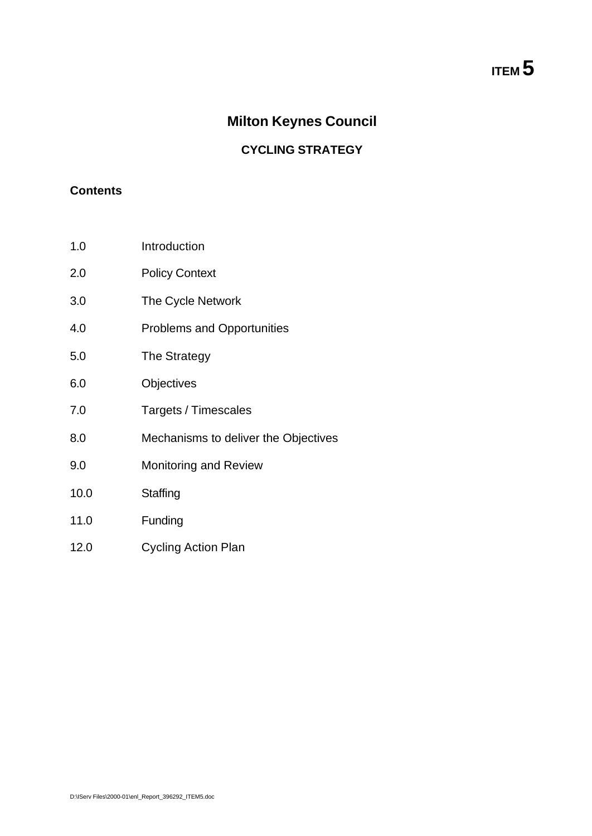### **Milton Keynes Council**

#### **CYCLING STRATEGY**

#### **Contents**

- 1.0 Introduction
- 2.0 Policy Context
- 3.0 The Cycle Network
- 4.0 Problems and Opportunities
- 5.0 The Strategy
- 6.0 Objectives
- 7.0 Targets / Timescales
- 8.0 Mechanisms to deliver the Objectives
- 9.0 Monitoring and Review
- 10.0 Staffing
- 11.0 Funding
- 12.0 Cycling Action Plan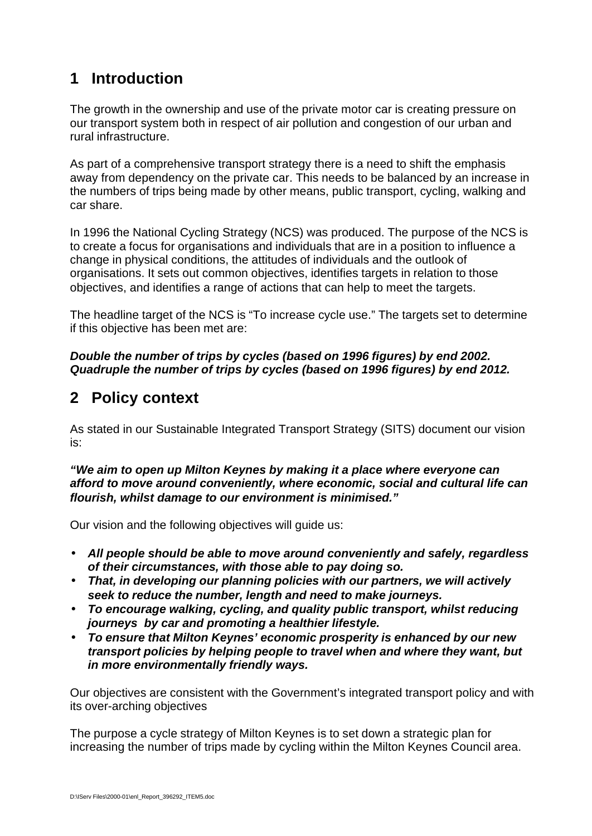# **1 Introduction**

The growth in the ownership and use of the private motor car is creating pressure on our transport system both in respect of air pollution and congestion of our urban and rural infrastructure.

As part of a comprehensive transport strategy there is a need to shift the emphasis away from dependency on the private car. This needs to be balanced by an increase in the numbers of trips being made by other means, public transport, cycling, walking and car share.

In 1996 the National Cycling Strategy (NCS) was produced. The purpose of the NCS is to create a focus for organisations and individuals that are in a position to influence a change in physical conditions, the attitudes of individuals and the outlook of organisations. It sets out common objectives, identifies targets in relation to those objectives, and identifies a range of actions that can help to meet the targets.

The headline target of the NCS is "To increase cycle use." The targets set to determine if this objective has been met are:

*Double the number of trips by cycles (based on 1996 figures) by end 2002. Quadruple the number of trips by cycles (based on 1996 figures) by end 2012.*

## **2 Policy context**

As stated in our Sustainable Integrated Transport Strategy (SITS) document our vision is:

*"We aim to open up Milton Keynes by making it a place where everyone can afford to move around conveniently, where economic, social and cultural life can flourish, whilst damage to our environment is minimised."*

Our vision and the following objectives will guide us:

- *All people should be able to move around conveniently and safely, regardless of their circumstances, with those able to pay doing so.*
- *That, in developing our planning policies with our partners, we will actively seek to reduce the number, length and need to make journeys.*
- *To encourage walking, cycling, and quality public transport, whilst reducing journeys by car and promoting a healthier lifestyle.*
- *To ensure that Milton Keynes' economic prosperity is enhanced by our new transport policies by helping people to travel when and where they want, but in more environmentally friendly ways.*

Our objectives are consistent with the Government's integrated transport policy and with its over-arching objectives

The purpose a cycle strategy of Milton Keynes is to set down a strategic plan for increasing the number of trips made by cycling within the Milton Keynes Council area.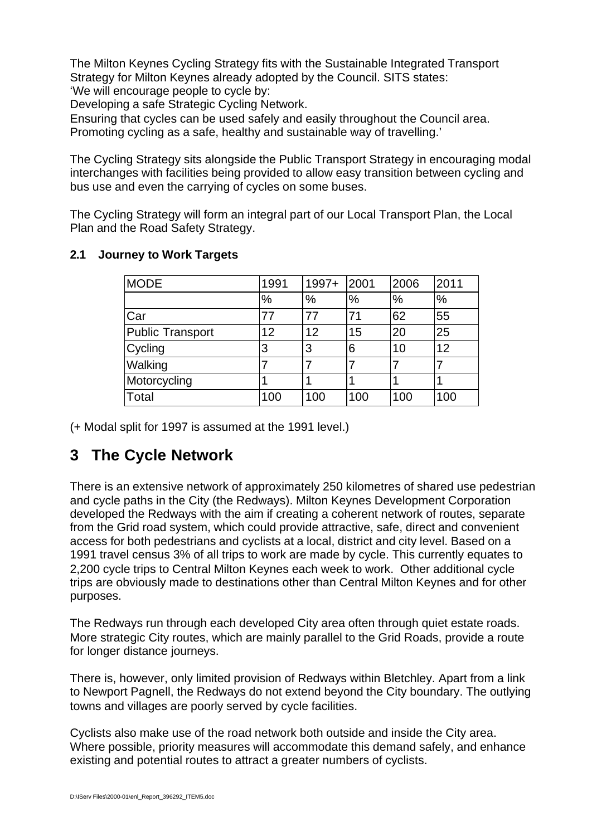The Milton Keynes Cycling Strategy fits with the Sustainable Integrated Transport Strategy for Milton Keynes already adopted by the Council. SITS states: 'We will encourage people to cycle by:

Developing a safe Strategic Cycling Network.

Ensuring that cycles can be used safely and easily throughout the Council area. Promoting cycling as a safe, healthy and sustainable way of travelling.'

The Cycling Strategy sits alongside the Public Transport Strategy in encouraging modal interchanges with facilities being provided to allow easy transition between cycling and bus use and even the carrying of cycles on some buses.

The Cycling Strategy will form an integral part of our Local Transport Plan, the Local Plan and the Road Safety Strategy.

| <b>MODE</b>      | 1991          | 1997+ | 2001 | 2006 | 2011          |
|------------------|---------------|-------|------|------|---------------|
|                  | $\frac{9}{6}$ | %     | %    | $\%$ | $\frac{9}{6}$ |
| Car              | 77            | 77    | 71   | 62   | 55            |
| Public Transport | 12            | 12    | 15   | 20   | 25            |
| Cycling          | 3             | 3     | 6    | 10   | 12            |
| Walking          |               |       |      |      |               |
| Motorcycling     |               |       |      |      |               |
| Total            | 100           | 100   | 100  | 100  | 100           |

#### **2.1 Journey to Work Targets**

(+ Modal split for 1997 is assumed at the 1991 level.)

### **3 The Cycle Network**

There is an extensive network of approximately 250 kilometres of shared use pedestrian and cycle paths in the City (the Redways). Milton Keynes Development Corporation developed the Redways with the aim if creating a coherent network of routes, separate from the Grid road system, which could provide attractive, safe, direct and convenient access for both pedestrians and cyclists at a local, district and city level. Based on a 1991 travel census 3% of all trips to work are made by cycle. This currently equates to 2,200 cycle trips to Central Milton Keynes each week to work. Other additional cycle trips are obviously made to destinations other than Central Milton Keynes and for other purposes.

The Redways run through each developed City area often through quiet estate roads. More strategic City routes, which are mainly parallel to the Grid Roads, provide a route for longer distance journeys.

There is, however, only limited provision of Redways within Bletchley. Apart from a link to Newport Pagnell, the Redways do not extend beyond the City boundary. The outlying towns and villages are poorly served by cycle facilities.

Cyclists also make use of the road network both outside and inside the City area. Where possible, priority measures will accommodate this demand safely, and enhance existing and potential routes to attract a greater numbers of cyclists.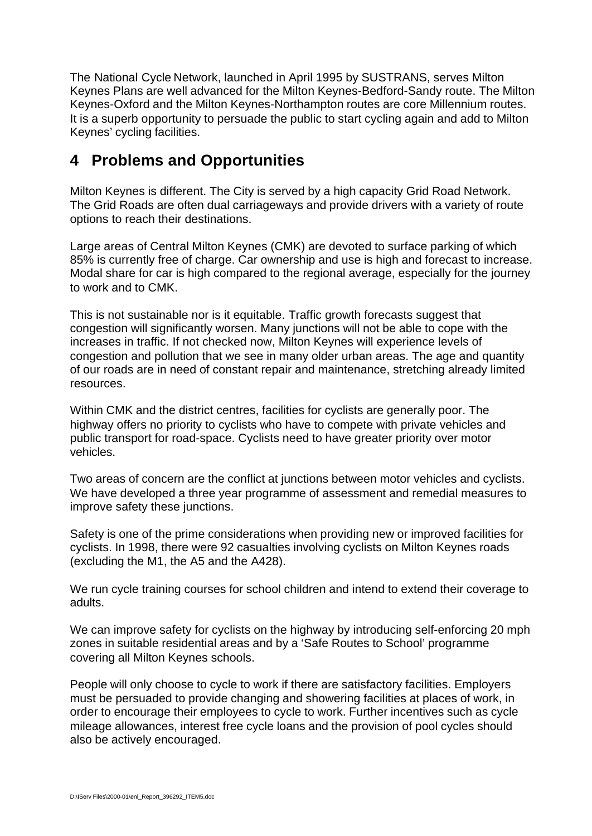The National Cycle Network, launched in April 1995 by SUSTRANS, serves Milton Keynes Plans are well advanced for the Milton Keynes-Bedford-Sandy route. The Milton Keynes-Oxford and the Milton Keynes-Northampton routes are core Millennium routes. It is a superb opportunity to persuade the public to start cycling again and add to Milton Keynes' cycling facilities.

### **4 Problems and Opportunities**

Milton Keynes is different. The City is served by a high capacity Grid Road Network. The Grid Roads are often dual carriageways and provide drivers with a variety of route options to reach their destinations.

Large areas of Central Milton Keynes (CMK) are devoted to surface parking of which 85% is currently free of charge. Car ownership and use is high and forecast to increase. Modal share for car is high compared to the regional average, especially for the journey to work and to CMK.

This is not sustainable nor is it equitable. Traffic growth forecasts suggest that congestion will significantly worsen. Many junctions will not be able to cope with the increases in traffic. If not checked now, Milton Keynes will experience levels of congestion and pollution that we see in many older urban areas. The age and quantity of our roads are in need of constant repair and maintenance, stretching already limited resources.

Within CMK and the district centres, facilities for cyclists are generally poor. The highway offers no priority to cyclists who have to compete with private vehicles and public transport for road-space. Cyclists need to have greater priority over motor vehicles.

Two areas of concern are the conflict at junctions between motor vehicles and cyclists. We have developed a three year programme of assessment and remedial measures to improve safety these junctions.

Safety is one of the prime considerations when providing new or improved facilities for cyclists. In 1998, there were 92 casualties involving cyclists on Milton Keynes roads (excluding the M1, the A5 and the A428).

We run cycle training courses for school children and intend to extend their coverage to adults.

We can improve safety for cyclists on the highway by introducing self-enforcing 20 mph zones in suitable residential areas and by a 'Safe Routes to School' programme covering all Milton Keynes schools.

People will only choose to cycle to work if there are satisfactory facilities. Employers must be persuaded to provide changing and showering facilities at places of work, in order to encourage their employees to cycle to work. Further incentives such as cycle mileage allowances, interest free cycle loans and the provision of pool cycles should also be actively encouraged.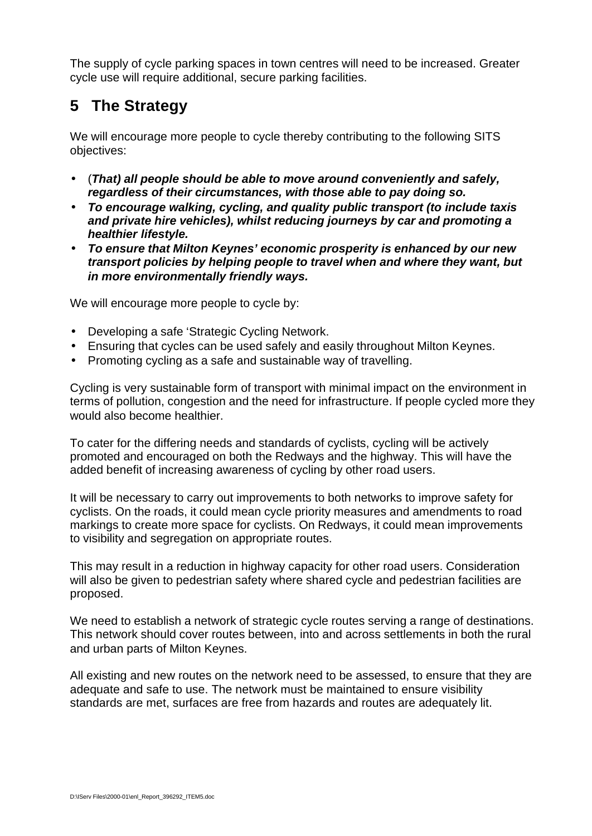The supply of cycle parking spaces in town centres will need to be increased. Greater cycle use will require additional, secure parking facilities.

# **5 The Strategy**

We will encourage more people to cycle thereby contributing to the following SITS objectives:

- (*That) all people should be able to move around conveniently and safely, regardless of their circumstances, with those able to pay doing so.*
- *To encourage walking, cycling, and quality public transport (to include taxis and private hire vehicles), whilst reducing journeys by car and promoting a healthier lifestyle.*
- *To ensure that Milton Keynes' economic prosperity is enhanced by our new transport policies by helping people to travel when and where they want, but in more environmentally friendly ways.*

We will encourage more people to cycle by:

- Developing a safe 'Strategic Cycling Network.
- Ensuring that cycles can be used safely and easily throughout Milton Keynes.
- Promoting cycling as a safe and sustainable way of travelling.

Cycling is very sustainable form of transport with minimal impact on the environment in terms of pollution, congestion and the need for infrastructure. If people cycled more they would also become healthier.

To cater for the differing needs and standards of cyclists, cycling will be actively promoted and encouraged on both the Redways and the highway. This will have the added benefit of increasing awareness of cycling by other road users.

It will be necessary to carry out improvements to both networks to improve safety for cyclists. On the roads, it could mean cycle priority measures and amendments to road markings to create more space for cyclists. On Redways, it could mean improvements to visibility and segregation on appropriate routes.

This may result in a reduction in highway capacity for other road users. Consideration will also be given to pedestrian safety where shared cycle and pedestrian facilities are proposed.

We need to establish a network of strategic cycle routes serving a range of destinations. This network should cover routes between, into and across settlements in both the rural and urban parts of Milton Keynes.

All existing and new routes on the network need to be assessed, to ensure that they are adequate and safe to use. The network must be maintained to ensure visibility standards are met, surfaces are free from hazards and routes are adequately lit.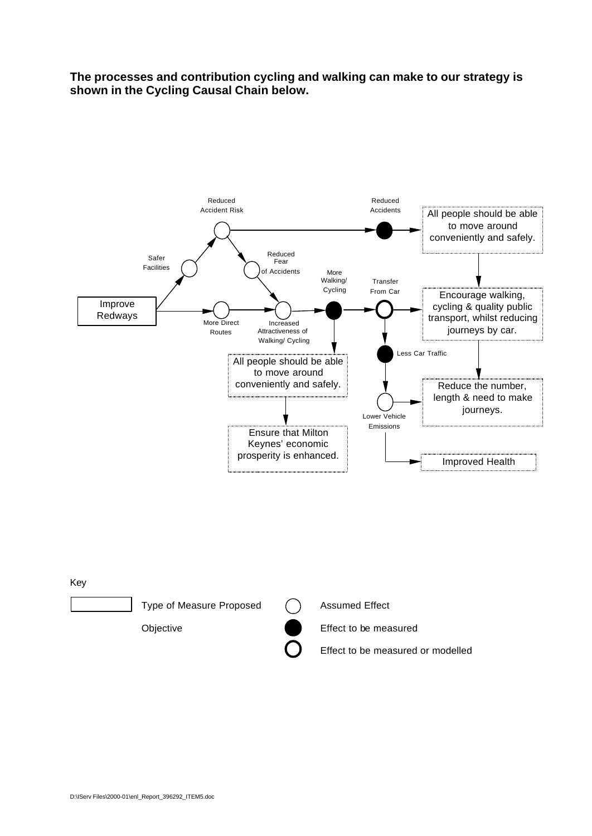**The processes and contribution cycling and walking can make to our strategy is shown in the Cycling Causal Chain below.**



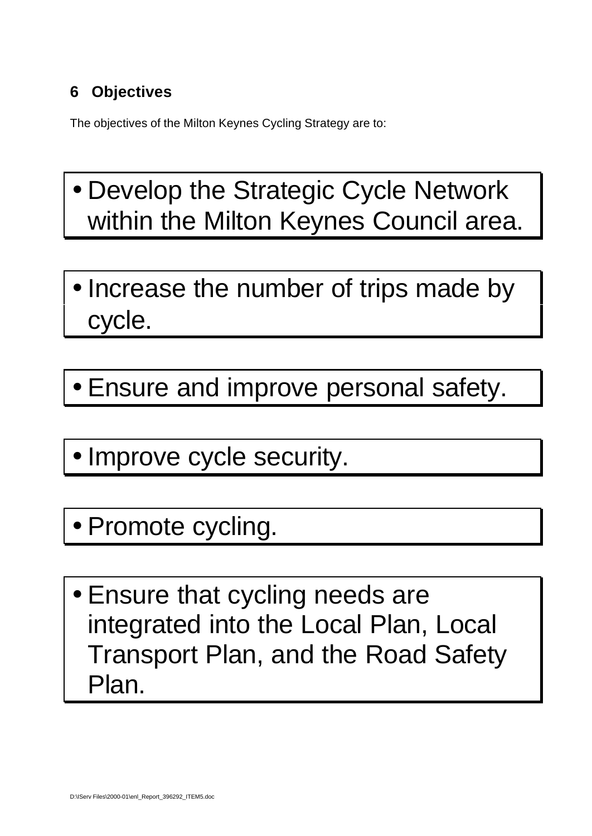# **6 Objectives**

The objectives of the Milton Keynes Cycling Strategy are to:

- Develop the Strategic Cycle Network within the Milton Keynes Council area.
- Increase the number of trips made by cycle.
- Ensure and improve personal safety.
- Improve cycle security.
- Promote cycling.
- Ensure that cycling needs are integrated into the Local Plan, Local Transport Plan, and the Road Safety Plan.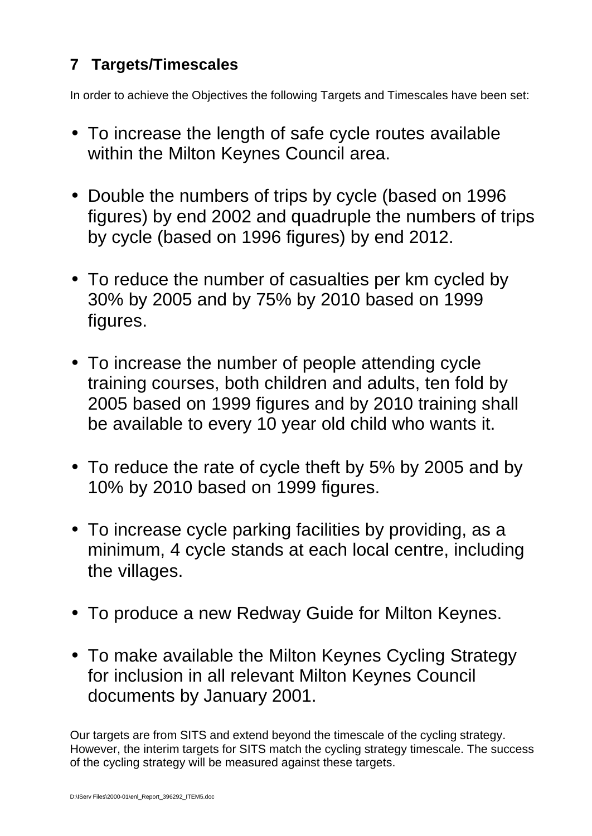# **7 Targets/Timescales**

In order to achieve the Objectives the following Targets and Timescales have been set:

- To increase the length of safe cycle routes available within the Milton Keynes Council area.
- Double the numbers of trips by cycle (based on 1996 figures) by end 2002 and quadruple the numbers of trips by cycle (based on 1996 figures) by end 2012.
- To reduce the number of casualties per km cycled by 30% by 2005 and by 75% by 2010 based on 1999 figures.
- To increase the number of people attending cycle training courses, both children and adults, ten fold by 2005 based on 1999 figures and by 2010 training shall be available to every 10 year old child who wants it.
- To reduce the rate of cycle theft by 5% by 2005 and by 10% by 2010 based on 1999 figures.
- To increase cycle parking facilities by providing, as a minimum, 4 cycle stands at each local centre, including the villages.
- To produce a new Redway Guide for Milton Keynes.
- To make available the Milton Keynes Cycling Strategy for inclusion in all relevant Milton Keynes Council documents by January 2001.

Our targets are from SITS and extend beyond the timescale of the cycling strategy. However, the interim targets for SITS match the cycling strategy timescale. The success of the cycling strategy will be measured against these targets.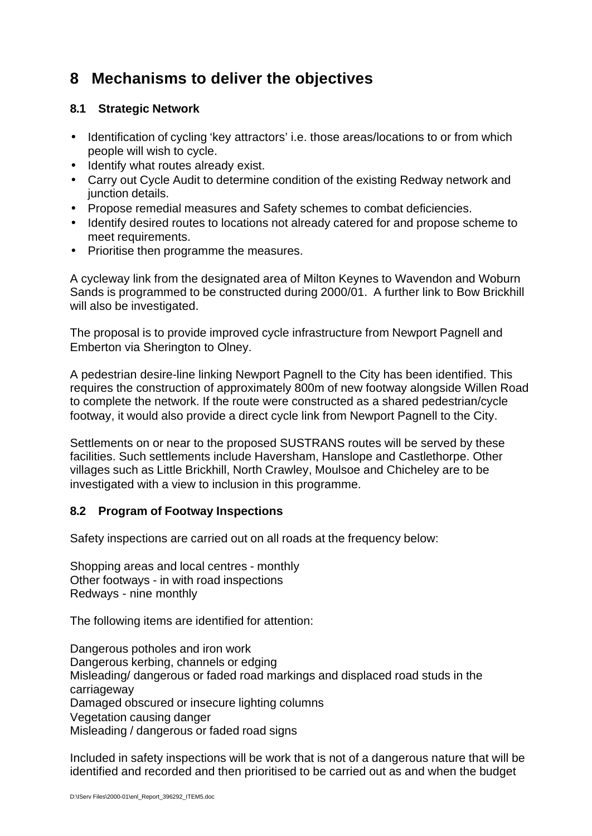### **8 Mechanisms to deliver the objectives**

#### **8.1 Strategic Network**

- Identification of cycling 'key attractors' i.e. those areas/locations to or from which people will wish to cycle.
- Identify what routes already exist.
- Carry out Cycle Audit to determine condition of the existing Redway network and junction details.
- Propose remedial measures and Safety schemes to combat deficiencies.
- Identify desired routes to locations not already catered for and propose scheme to meet requirements.
- Prioritise then programme the measures.

A cycleway link from the designated area of Milton Keynes to Wavendon and Woburn Sands is programmed to be constructed during 2000/01. A further link to Bow Brickhill will also be investigated.

The proposal is to provide improved cycle infrastructure from Newport Pagnell and Emberton via Sherington to Olney.

A pedestrian desire-line linking Newport Pagnell to the City has been identified. This requires the construction of approximately 800m of new footway alongside Willen Road to complete the network. If the route were constructed as a shared pedestrian/cycle footway, it would also provide a direct cycle link from Newport Pagnell to the City.

Settlements on or near to the proposed SUSTRANS routes will be served by these facilities. Such settlements include Haversham, Hanslope and Castlethorpe. Other villages such as Little Brickhill, North Crawley, Moulsoe and Chicheley are to be investigated with a view to inclusion in this programme.

#### **8.2 Program of Footway Inspections**

Safety inspections are carried out on all roads at the frequency below:

Shopping areas and local centres - monthly Other footways - in with road inspections Redways - nine monthly

The following items are identified for attention:

Dangerous potholes and iron work Dangerous kerbing, channels or edging Misleading/ dangerous or faded road markings and displaced road studs in the carriageway Damaged obscured or insecure lighting columns Vegetation causing danger Misleading / dangerous or faded road signs

Included in safety inspections will be work that is not of a dangerous nature that will be identified and recorded and then prioritised to be carried out as and when the budget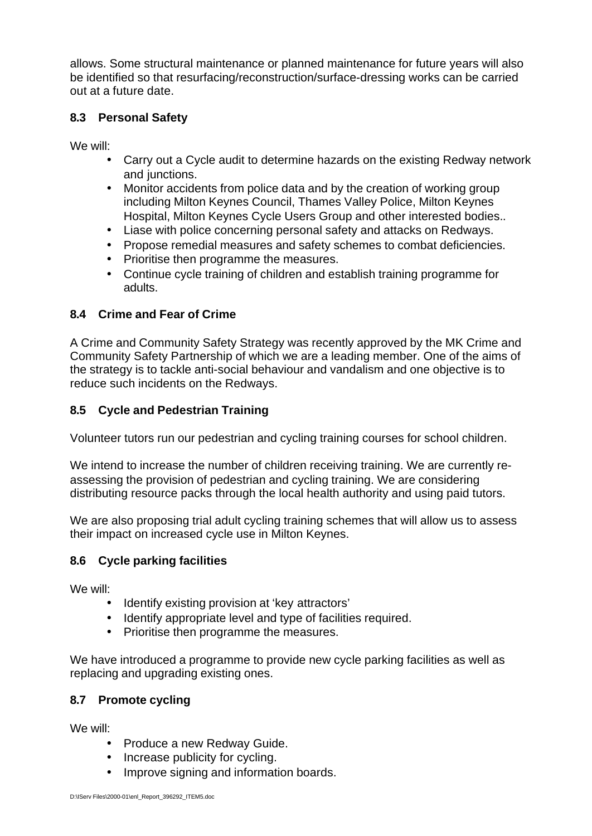allows. Some structural maintenance or planned maintenance for future years will also be identified so that resurfacing/reconstruction/surface-dressing works can be carried out at a future date.

#### **8.3 Personal Safety**

We will:

- Carry out a Cycle audit to determine hazards on the existing Redway network and junctions.
- Monitor accidents from police data and by the creation of working group including Milton Keynes Council, Thames Valley Police, Milton Keynes Hospital, Milton Keynes Cycle Users Group and other interested bodies..
- Liase with police concerning personal safety and attacks on Redways.
- Propose remedial measures and safety schemes to combat deficiencies.
- Prioritise then programme the measures.
- Continue cycle training of children and establish training programme for adults.

#### **8.4 Crime and Fear of Crime**

A Crime and Community Safety Strategy was recently approved by the MK Crime and Community Safety Partnership of which we are a leading member. One of the aims of the strategy is to tackle anti-social behaviour and vandalism and one objective is to reduce such incidents on the Redways.

#### **8.5 Cycle and Pedestrian Training**

Volunteer tutors run our pedestrian and cycling training courses for school children.

We intend to increase the number of children receiving training. We are currently reassessing the provision of pedestrian and cycling training. We are considering distributing resource packs through the local health authority and using paid tutors.

We are also proposing trial adult cycling training schemes that will allow us to assess their impact on increased cycle use in Milton Keynes.

#### **8.6 Cycle parking facilities**

We will:

- Identify existing provision at 'key attractors'
- Identify appropriate level and type of facilities required.
- Prioritise then programme the measures.

We have introduced a programme to provide new cycle parking facilities as well as replacing and upgrading existing ones.

#### **8.7 Promote cycling**

We will:

- Produce a new Redway Guide.
- Increase publicity for cycling.
- Improve signing and information boards.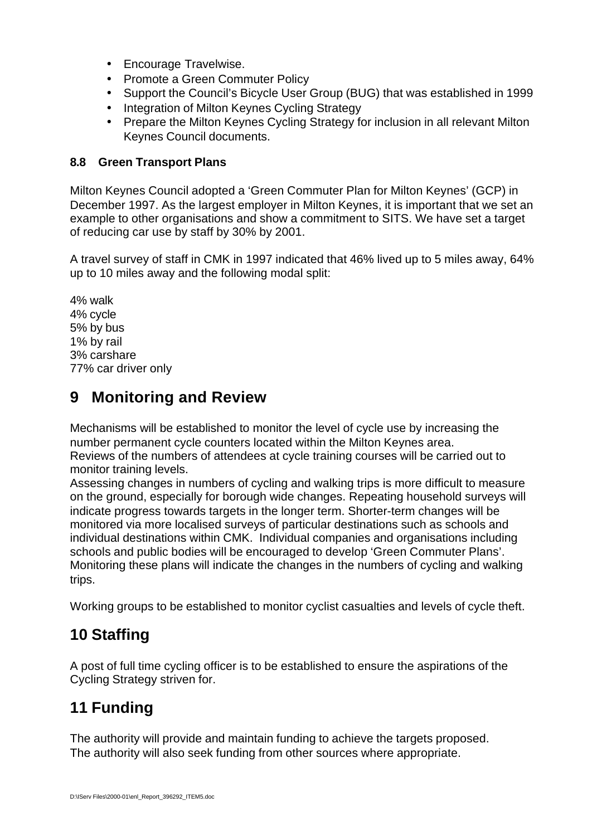- Encourage Travelwise.
- Promote a Green Commuter Policy
- Support the Council's Bicycle User Group (BUG) that was established in 1999
- Integration of Milton Keynes Cycling Strategy
- Prepare the Milton Keynes Cycling Strategy for inclusion in all relevant Milton Keynes Council documents.

#### **8.8 Green Transport Plans**

Milton Keynes Council adopted a 'Green Commuter Plan for Milton Keynes' (GCP) in December 1997. As the largest employer in Milton Keynes, it is important that we set an example to other organisations and show a commitment to SITS. We have set a target of reducing car use by staff by 30% by 2001.

A travel survey of staff in CMK in 1997 indicated that 46% lived up to 5 miles away, 64% up to 10 miles away and the following modal split:

4% walk 4% cycle 5% by bus 1% by rail 3% carshare 77% car driver only

### **9 Monitoring and Review**

Mechanisms will be established to monitor the level of cycle use by increasing the number permanent cycle counters located within the Milton Keynes area. Reviews of the numbers of attendees at cycle training courses will be carried out to monitor training levels.

Assessing changes in numbers of cycling and walking trips is more difficult to measure on the ground, especially for borough wide changes. Repeating household surveys will indicate progress towards targets in the longer term. Shorter-term changes will be monitored via more localised surveys of particular destinations such as schools and individual destinations within CMK. Individual companies and organisations including schools and public bodies will be encouraged to develop 'Green Commuter Plans'. Monitoring these plans will indicate the changes in the numbers of cycling and walking trips.

Working groups to be established to monitor cyclist casualties and levels of cycle theft.

## **10 Staffing**

A post of full time cycling officer is to be established to ensure the aspirations of the Cycling Strategy striven for.

# **11 Funding**

The authority will provide and maintain funding to achieve the targets proposed. The authority will also seek funding from other sources where appropriate.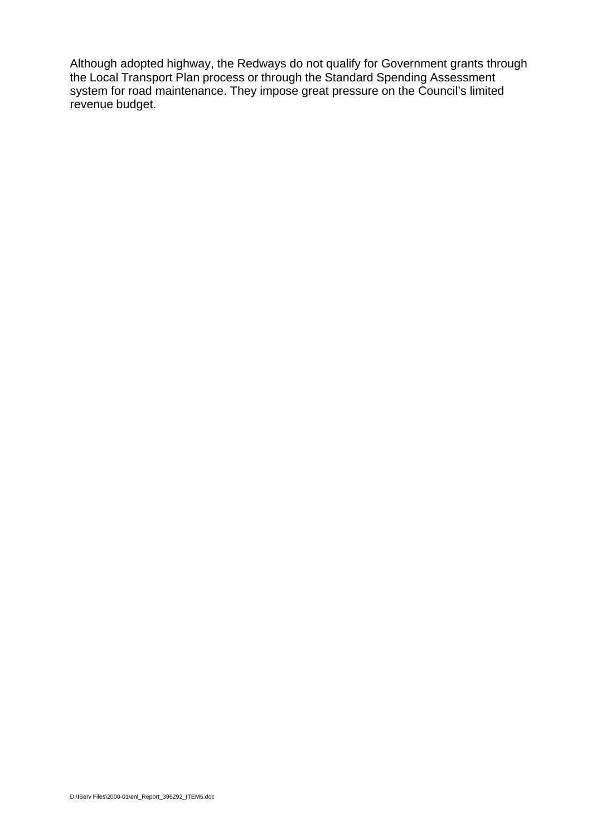Although adopted highway, the Redways do not qualify for Government grants through the Local Transport Plan process or through the Standard Spending Assessment system for road maintenance. They impose great pressure on the Council's limited revenue budget.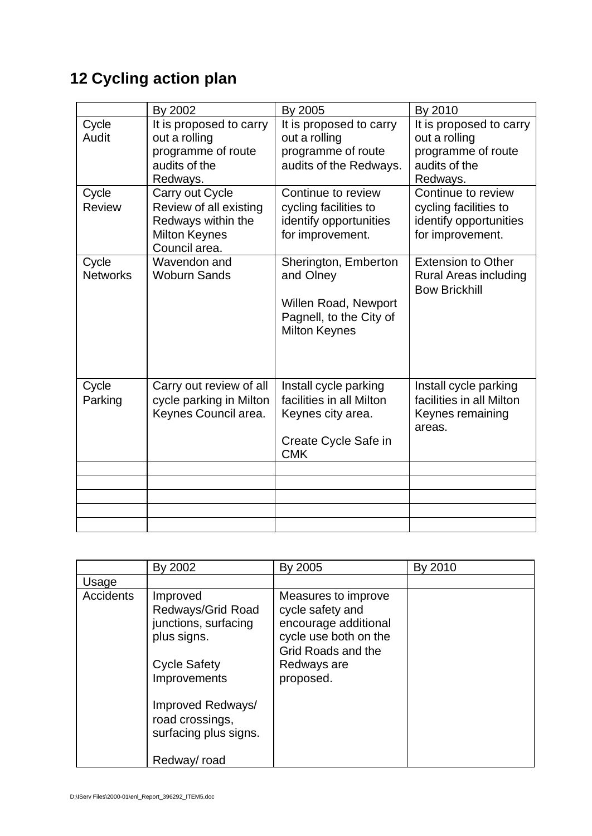# **12 Cycling action plan**

|                          | By 2002                                                                                                  | By 2005                                                                                                      | By 2010                                                                                     |
|--------------------------|----------------------------------------------------------------------------------------------------------|--------------------------------------------------------------------------------------------------------------|---------------------------------------------------------------------------------------------|
| Cycle<br>Audit           | It is proposed to carry<br>out a rolling<br>programme of route<br>audits of the<br>Redways.              | It is proposed to carry<br>out a rolling<br>programme of route<br>audits of the Redways.                     | It is proposed to carry<br>out a rolling<br>programme of route<br>audits of the<br>Redways. |
| Cycle<br><b>Review</b>   | Carry out Cycle<br>Review of all existing<br>Redways within the<br><b>Milton Keynes</b><br>Council area. | Continue to review<br>cycling facilities to<br>identify opportunities<br>for improvement.                    | Continue to review<br>cycling facilities to<br>identify opportunities<br>for improvement.   |
| Cycle<br><b>Networks</b> | Wavendon and<br><b>Woburn Sands</b>                                                                      | Sherington, Emberton<br>and Olney<br>Willen Road, Newport<br>Pagnell, to the City of<br><b>Milton Keynes</b> | <b>Extension to Other</b><br><b>Rural Areas including</b><br><b>Bow Brickhill</b>           |
| Cycle<br>Parking         | Carry out review of all<br>cycle parking in Milton<br>Keynes Council area.                               | Install cycle parking<br>facilities in all Milton<br>Keynes city area.<br>Create Cycle Safe in<br><b>CMK</b> | Install cycle parking<br>facilities in all Milton<br>Keynes remaining<br>areas.             |
|                          |                                                                                                          |                                                                                                              |                                                                                             |
|                          |                                                                                                          |                                                                                                              |                                                                                             |
|                          |                                                                                                          |                                                                                                              |                                                                                             |
|                          |                                                                                                          |                                                                                                              |                                                                                             |

|                  | By 2002                                                                                                                                                                      | By 2005                                                                                                                                    | By 2010 |
|------------------|------------------------------------------------------------------------------------------------------------------------------------------------------------------------------|--------------------------------------------------------------------------------------------------------------------------------------------|---------|
| Usage            |                                                                                                                                                                              |                                                                                                                                            |         |
| <b>Accidents</b> | Improved<br>Redways/Grid Road<br>junctions, surfacing<br>plus signs.<br><b>Cycle Safety</b><br>Improvements<br>Improved Redways/<br>road crossings,<br>surfacing plus signs. | Measures to improve<br>cycle safety and<br>encourage additional<br>cycle use both on the<br>Grid Roads and the<br>Redways are<br>proposed. |         |
|                  | Redway/road                                                                                                                                                                  |                                                                                                                                            |         |